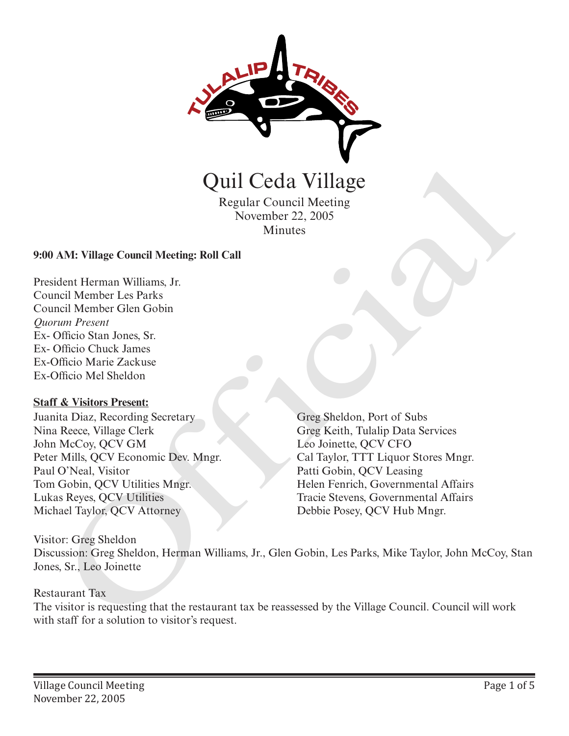

Regular Council Meeting November 22, 2005 **Minutes** 

### **9:00 AM: Village Council Meeting: Roll Call**

President Herman Williams, Jr. Council Member Les Parks Council Member Glen Gobin *Quorum Present* Ex- Officio Stan Jones, Sr. Ex- Officio Chuck James Ex-Officio Marie Zackuse Ex-Officio Mel Sheldon

#### **Staff & Visitors Present:**

Juanita Diaz, Recording Secretary Nina Reece, Village Clerk John McCoy, QCV GM Peter Mills, QCV Economic Dev. Mngr. Paul O'Neal, Visitor Tom Gobin, QCV Utilities Mngr. Lukas Reyes, QCV Utilities Michael Taylor, QCV Attorney

Greg Sheldon, Port of Subs Greg Keith, Tulalip Data Services Leo Joinette, QCV CFO Cal Taylor, TTT Liquor Stores Mngr. Patti Gobin, QCV Leasing Helen Fenrich, Governmental Affairs Tracie Stevens, Governmental Affairs **CHILI Cecilar Villiage**<br>
Regular Council Meeting<br>
November 22, 2005<br>
Minutes<br>
Now Minutes<br>
AM: Village Council Meeting: Roll Call<br>
dcnt Herman Williams, Jr.<br>
method Man Jones, Sr.<br>
Dilicio Chuck Jamses Sr.<br>
Dilicio Chuck

Visitor: Greg Sheldon Discussion: Greg Sheldon, Herman Williams, Jr., Glen Gobin, Les Parks, Mike Taylor, John McCoy, Stan Jones, Sr., Leo Joinette

#### Restaurant Tax

The visitor is requesting that the restaurant tax be reassessed by the Village Council. Council will work with staff for a solution to visitor's request.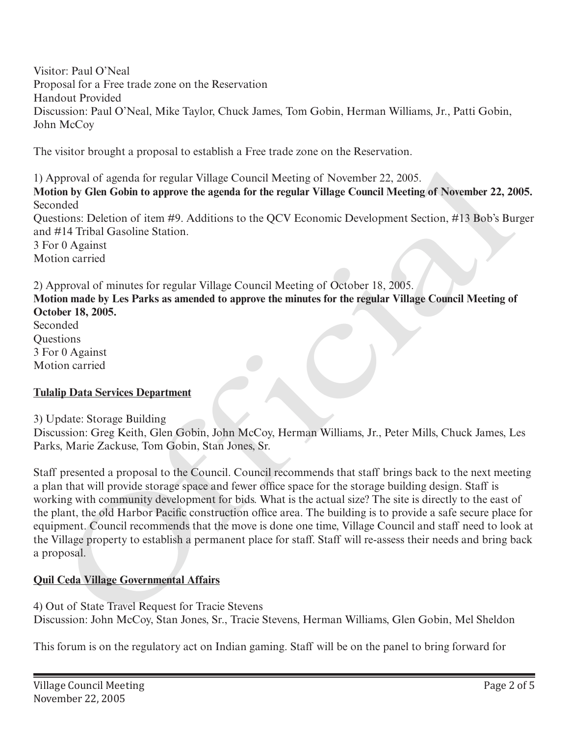Visitor: Paul O'Neal Proposal for a Free trade zone on the Reservation Handout Provided Discussion: Paul O'Neal, Mike Taylor, Chuck James, Tom Gobin, Herman Williams, Jr., Patti Gobin, John McCoy

The visitor brought a proposal to establish a Free trade zone on the Reservation.

1) Approval of agenda for regular Village Council Meeting of November 22, 2005. **Motion by Glen Gobin to approve the agenda for the regular Village Council Meeting of November 22, 2005.**  Seconded Questions: Deletion of item #9. Additions to the QCV Economic Development Section, #13 Bob's Burger and #14 Tribal Gasoline Station. 3 For 0 Against Motion carried pproval of agenda for regular Village Council Meeting of November 22, 2005.<br>
on by Glen Gobin to approve the agenda for the regular Village Council Meeting of November 22, 20<br>
thodd<br>
onload<br>
on the method. Deletion of item

2) Approval of minutes for regular Village Council Meeting of October 18, 2005. **Motion made by Les Parks as amended to approve the minutes for the regular Village Council Meeting of October 18, 2005.** 

Seconded **Ouestions** 3 For 0 Against Motion carried

## **Tulalip Data Services Department**

3) Update: Storage Building

Discussion: Greg Keith, Glen Gobin, John McCoy, Herman Williams, Jr., Peter Mills, Chuck James, Les Parks, Marie Zackuse, Tom Gobin, Stan Jones, Sr.

Staff presented a proposal to the Council. Council recommends that staff brings back to the next meeting a plan that will provide storage space and fewer office space for the storage building design. Staff is working with community development for bids. What is the actual size? The site is directly to the east of the plant, the old Harbor Pacific construction office area. The building is to provide a safe secure place for equipment. Council recommends that the move is done one time, Village Council and staff need to look at the Village property to establish a permanent place for staff. Staff will re-assess their needs and bring back a proposal.

# **Quil Ceda Village Governmental Affairs**

4) Out of State Travel Request for Tracie Stevens Discussion: John McCoy, Stan Jones, Sr., Tracie Stevens, Herman Williams, Glen Gobin, Mel Sheldon

This forum is on the regulatory act on Indian gaming. Staff will be on the panel to bring forward for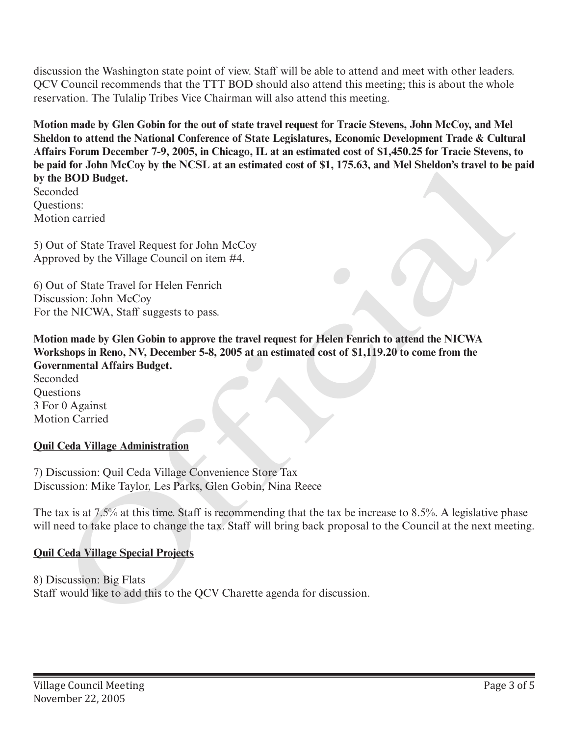discussion the Washington state point of view. Staff will be able to attend and meet with other leaders. QCV Council recommends that the TTT BOD should also attend this meeting; this is about the whole reservation. The Tulalip Tribes Vice Chairman will also attend this meeting.

**Motion made by Glen Gobin for the out of state travel request for Tracie Stevens, John McCoy, and Mel Sheldon to attend the National Conference of State Legislatures, Economic Development Trade & Cultural Affairs Forum December 7-9, 2005, in Chicago, IL at an estimated cost of \$1,450.25 for Tracie Stevens, to be paid for John McCoy by the NCSL at an estimated cost of \$1, 175.63, and Mel Sheldon's travel to be paid by the BOD Budget.**

Seconded Questions: Motion carried

5) Out of State Travel Request for John McCoy Approved by the Village Council on item #4.

6) Out of State Travel for Helen Fenrich Discussion: John McCoy For the NICWA, Staff suggests to pass.

**Motion made by Glen Gobin to approve the travel request for Helen Fenrich to attend the NICWA Workshops in Reno, NV, December 5-8, 2005 at an estimated cost of \$1,119.20 to come from the Governmental Affairs Budget.** to pain to form MCCoy by the NCSL at an estimated cost of 31, 1/5.65, and Mei Shedon's travel to he<br>Seconded<br>Ouestions:<br>Consider Conded Constrained Considers (Seconded Ouestics)<br>Constrained Constrained Consider a consider

Seconded **Ouestions** 3 For 0 Against Motion Carried

## **Quil Ceda Village Administration**

7) Discussion: Quil Ceda Village Convenience Store Tax Discussion: Mike Taylor, Les Parks, Glen Gobin, Nina Reece

The tax is at 7.5% at this time. Staff is recommending that the tax be increase to 8.5%. A legislative phase will need to take place to change the tax. Staff will bring back proposal to the Council at the next meeting.

## **Quil Ceda Village Special Projects**

8) Discussion: Big Flats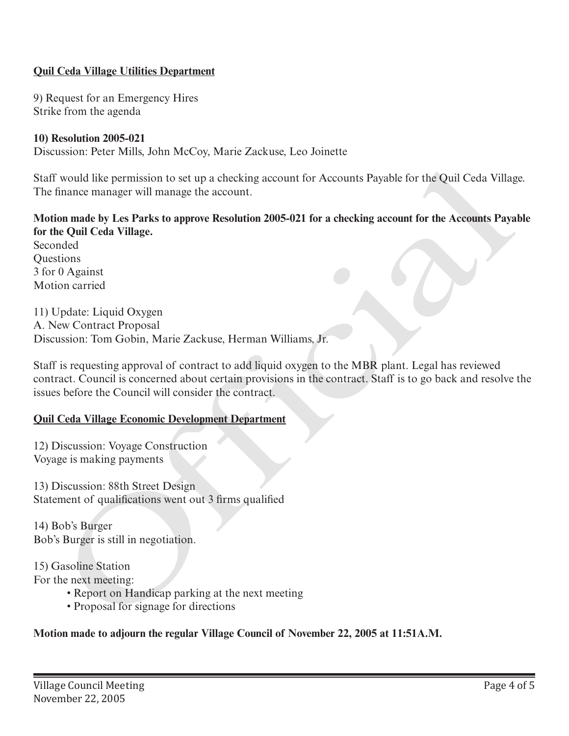### **Quil Ceda Village Utilities Department**

9) Request for an Emergency Hires Strike from the agenda

#### **10) Resolution 2005-021**

Discussion: Peter Mills, John McCoy, Marie Zackuse, Leo Joinette

Staff would like permission to set up a checking account for Accounts Payable for the Quil Ceda Village. The finance manager will manage the account.

### **Motion made by Les Parks to approve Resolution 2005-021 for a checking account for the Accounts Payable for the Quil Ceda Village.**

Seconded Questions 3 for 0 Against Motion carried

11) Update: Liquid Oxygen A. New Contract Proposal Discussion: Tom Gobin, Marie Zackuse, Herman Williams, Jr.

Staff is requesting approval of contract to add liquid oxygen to the MBR plant. Legal has reviewed contract. Council is concerned about certain provisions in the contract. Staff is to go back and resolve the issues before the Council will consider the contract. is would like permission to set up a checking account for Accounts Payable for the Quil Ceda Village.<br>
innance manager will manage the account.<br> **Of more of the Levis Parks to approve Resolution 2005-021** for a checking ac

#### **Quil Ceda Village Economic Development Department**

12) Discussion: Voyage Construction Voyage is making payments

13) Discussion: 88th Street Design Statement of qualifications went out 3 firms qualified

14) Bob's Burger Bob's Burger is still in negotiation.

#### 15) Gasoline Station

For the next meeting:

- Report on Handicap parking at the next meeting
- Proposal for signage for directions

#### **Motion made to adjourn the regular Village Council of November 22, 2005 at 11:51A.M.**